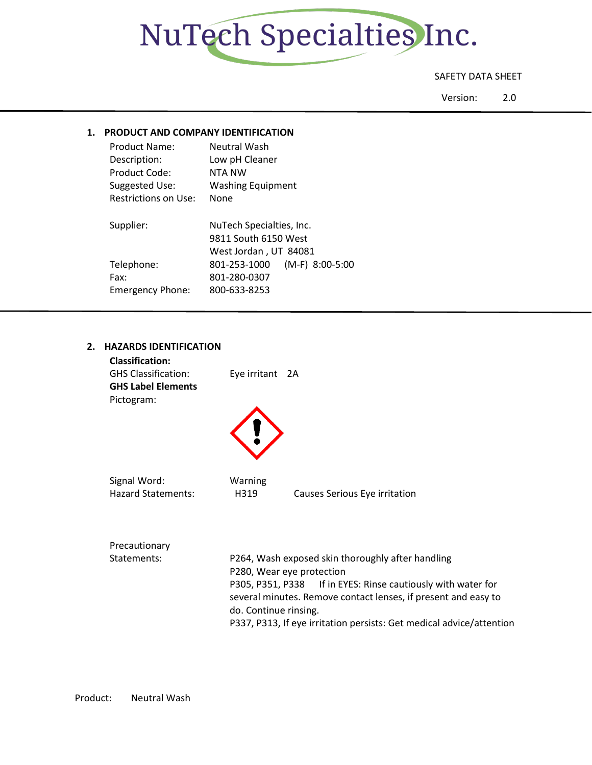

#### SAFETY DATA SHEET

Version: 2.0

#### **1. PRODUCT AND COMPANY IDENTIFICATION**

| Product Name:           | Neutral Wash                      |
|-------------------------|-----------------------------------|
| Description:            | Low pH Cleaner                    |
| Product Code:           | NTA NW                            |
| Suggested Use:          | <b>Washing Equipment</b>          |
| Restrictions on Use:    | None                              |
|                         |                                   |
|                         |                                   |
| Supplier:               | NuTech Specialties, Inc.          |
|                         | 9811 South 6150 West              |
|                         | West Jordan, UT 84081             |
| Telephone:              | $(M-F)$ 8:00-5:00<br>801-253-1000 |
| Fax:                    | 801-280-0307                      |
| <b>Emergency Phone:</b> | 800-633-8253                      |

### **2. HAZARDS IDENTIFICATION**

| <b>Classification:</b><br><b>GHS Classification:</b><br><b>GHS Label Elements</b><br>Pictogram: | Eye irritant 2A       |                                                                                                                                |
|-------------------------------------------------------------------------------------------------|-----------------------|--------------------------------------------------------------------------------------------------------------------------------|
|                                                                                                 |                       |                                                                                                                                |
| Signal Word:<br><b>Hazard Statements:</b>                                                       | Warning<br>H319       | Causes Serious Eye irritation                                                                                                  |
| Precautionary<br>Statements:                                                                    |                       | P264, Wash exposed skin thoroughly after handling<br>P280, Wear eye protection                                                 |
|                                                                                                 | do. Continue rinsing. | P305, P351, P338 If in EYES: Rinse cautiously with water for<br>several minutes. Remove contact lenses, if present and easy to |

P337, P313, If eye irritation persists: Get medical advice/attention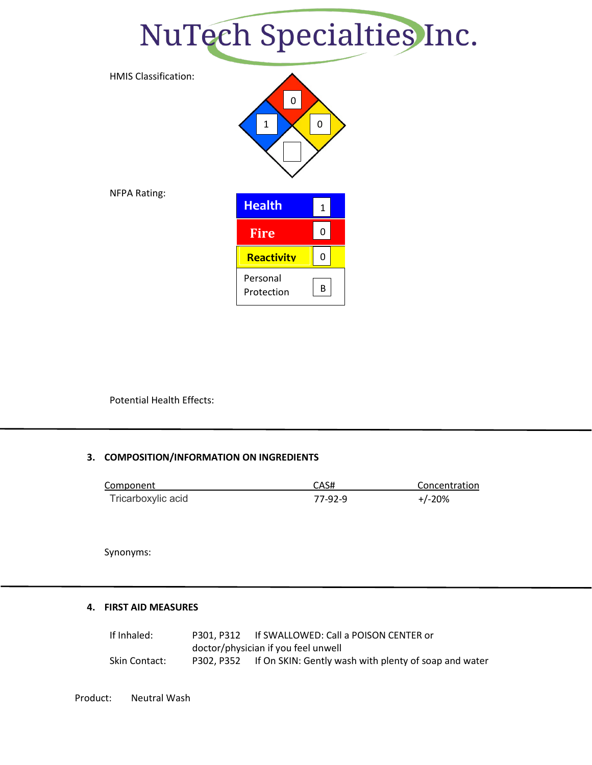### NuTech Specialties Inc.



Potential Health Effects:

#### **3. COMPOSITION/INFORMATION ON INGREDIENTS**

| Component          | CAS#    | Concentration |
|--------------------|---------|---------------|
| Tricarboxylic acid | 77-92-9 | $+/-20%$      |

Synonyms:

#### **4. FIRST AID MEASURES**

If Inhaled: P301, P312 If SWALLOWED: Call a POISON CENTER or doctor/physician if you feel unwell Skin Contact: P302, P352 If On SKIN: Gently wash with plenty of soap and water

Product: Neutral Wash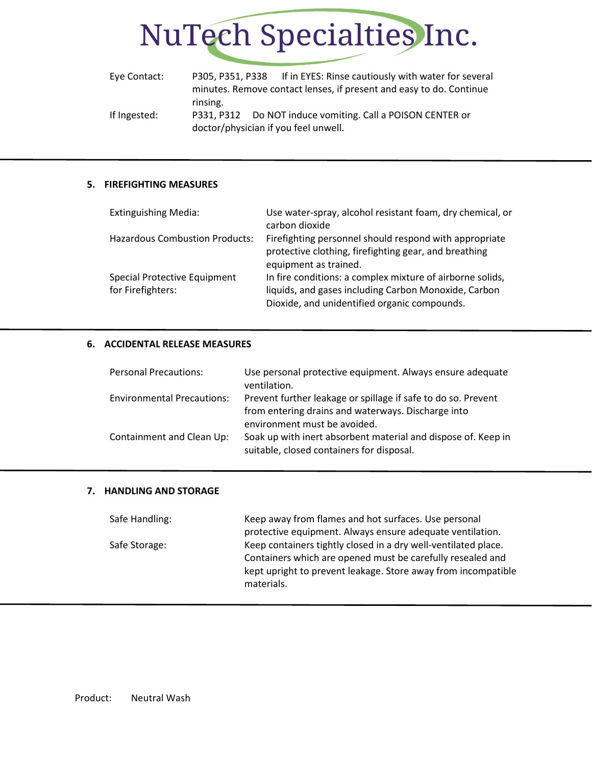

| Eye Contact: |                                      | P305, P351, P338 If in EYES: Rinse cautiously with water for several |  |
|--------------|--------------------------------------|----------------------------------------------------------------------|--|
|              |                                      | minutes. Remove contact lenses, if present and easy to do. Continue  |  |
|              | rinsing.                             |                                                                      |  |
| If Ingested: |                                      | P331, P312 Do NOT induce vomiting. Call a POISON CENTER or           |  |
|              | doctor/physician if you feel unwell. |                                                                      |  |

#### **5. FIREFIGHTING MEASURES**

| <b>Extinguishing Media:</b>                       | Use water-spray, alcohol resistant foam, dry chemical, or<br>carbon dioxide                                                                                       |
|---------------------------------------------------|-------------------------------------------------------------------------------------------------------------------------------------------------------------------|
| <b>Hazardous Combustion Products:</b>             | Firefighting personnel should respond with appropriate<br>protective clothing, firefighting gear, and breathing<br>equipment as trained.                          |
| Special Protective Equipment<br>for Firefighters: | In fire conditions: a complex mixture of airborne solids,<br>liquids, and gases including Carbon Monoxide, Carbon<br>Dioxide, and unidentified organic compounds. |

#### **6. ACCIDENTAL RELEASE MEASURES**

| <b>Personal Precautions:</b>      | Use personal protective equipment. Always ensure adequate<br>ventilation.                                           |
|-----------------------------------|---------------------------------------------------------------------------------------------------------------------|
| <b>Environmental Precautions:</b> | Prevent further leakage or spillage if safe to do so. Prevent<br>from entering drains and waterways. Discharge into |
|                                   | environment must be avoided.                                                                                        |
| Containment and Clean Up:         | Soak up with inert absorbent material and dispose of. Keep in<br>suitable, closed containers for disposal.          |

#### **7. HANDLING AND STORAGE**

| Safe Handling: | Keep away from flames and hot surfaces. Use personal           |
|----------------|----------------------------------------------------------------|
|                | protective equipment. Always ensure adequate ventilation.      |
| Safe Storage:  | Keep containers tightly closed in a dry well-ventilated place. |
|                | Containers which are opened must be carefully resealed and     |
|                | kept upright to prevent leakage. Store away from incompatible  |
|                | materials.                                                     |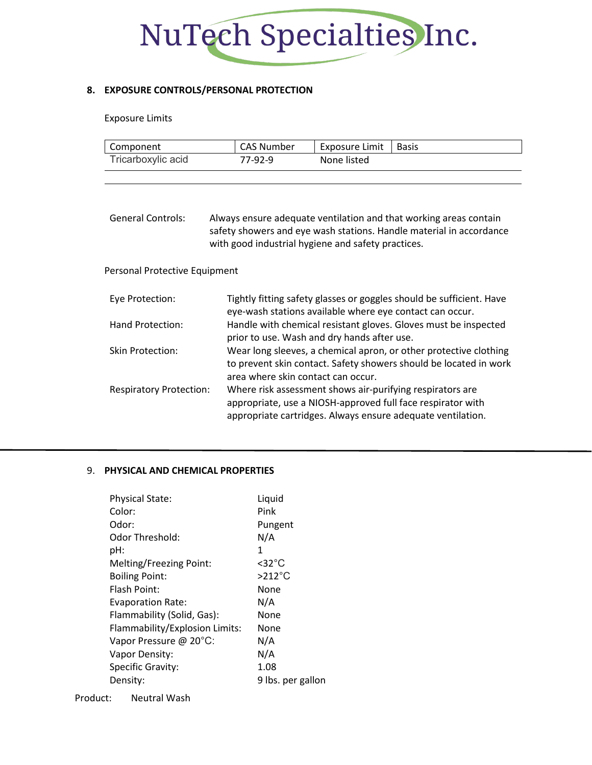## NuTech Specialties Inc.

#### **8. EXPOSURE CONTROLS/PERSONAL PROTECTION**

#### Exposure Limits

| Component          | CAS Number | Exposure Limit | Basis |
|--------------------|------------|----------------|-------|
| Tricarboxylic acid | 77-92-9    | None listed    |       |

| General Controls: | Always ensure adequate ventilation and that working areas contain   |  |
|-------------------|---------------------------------------------------------------------|--|
|                   | safety showers and eye wash stations. Handle material in accordance |  |
|                   | with good industrial hygiene and safety practices.                  |  |

#### Personal Protective Equipment

| Eye Protection:                | Tightly fitting safety glasses or goggles should be sufficient. Have<br>eye-wash stations available where eye contact can occur.                                                        |
|--------------------------------|-----------------------------------------------------------------------------------------------------------------------------------------------------------------------------------------|
| Hand Protection:               | Handle with chemical resistant gloves. Gloves must be inspected<br>prior to use. Wash and dry hands after use.                                                                          |
| Skin Protection:               | Wear long sleeves, a chemical apron, or other protective clothing<br>to prevent skin contact. Safety showers should be located in work<br>area where skin contact can occur.            |
| <b>Respiratory Protection:</b> | Where risk assessment shows air-purifying respirators are<br>appropriate, use a NIOSH-approved full face respirator with<br>appropriate cartridges. Always ensure adequate ventilation. |

#### 9. **PHYSICAL AND CHEMICAL PROPERTIES**

| <b>Physical State:</b>         | Liquid              |
|--------------------------------|---------------------|
| Color:                         | Pink                |
| Odor:                          | Pungent             |
| Odor Threshold:                | N/A                 |
| pH:                            | 1                   |
| Melting/Freezing Point:        | $<$ 32 $^{\circ}$ C |
| <b>Boiling Point:</b>          | $>212^{\circ}$ C    |
| Flash Point:                   | None                |
| <b>Evaporation Rate:</b>       | N/A                 |
| Flammability (Solid, Gas):     | None                |
| Flammability/Explosion Limits: | None                |
| Vapor Pressure @ 20°C:         | N/A                 |
| Vapor Density:                 | N/A                 |
| Specific Gravity:              | 1.08                |
| Density:                       | 9 lbs. per gallon   |
|                                |                     |

Product: Neutral Wash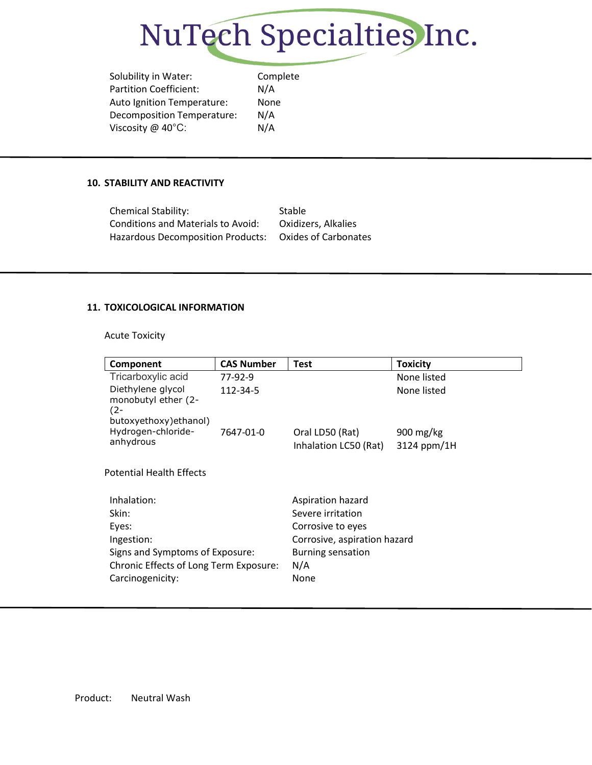

Solubility in Water: Complete Partition Coefficient: N/A Auto Ignition Temperature: None Decomposition Temperature: N/A Viscosity @ 40°C: N/A

#### **10. STABILITY AND REACTIVITY**

| <b>Chemical Stability:</b>                | Stable               |
|-------------------------------------------|----------------------|
| <b>Conditions and Materials to Avoid:</b> | Oxidizers, Alkalies  |
| <b>Hazardous Decomposition Products:</b>  | Oxides of Carbonates |

#### **11. TOXICOLOGICAL INFORMATION**

Acute Toxicity

| Component                                                                    | <b>CAS Number</b> | <b>Test</b>                              | <b>Toxicity</b>            |
|------------------------------------------------------------------------------|-------------------|------------------------------------------|----------------------------|
| Tricarboxylic acid                                                           | 77-92-9           |                                          | None listed                |
| Diethylene glycol<br>monobutyl ether (2-<br>$(2 -$<br>butoxyethoxy) ethanol) | 112-34-5          |                                          | None listed                |
| Hydrogen-chloride-<br>anhydrous                                              | 7647-01-0         | Oral LD50 (Rat)<br>Inhalation LC50 (Rat) | 900 $mg/kg$<br>3124 ppm/1H |
| <b>Potential Health Effects</b>                                              |                   |                                          |                            |
| Inhalation:                                                                  |                   | Aspiration hazard                        |                            |
| Skin:                                                                        |                   | Severe irritation                        |                            |
| Eyes:                                                                        |                   | Corrosive to eyes                        |                            |
| Ingestion:                                                                   |                   | Corrosive, aspiration hazard             |                            |
| Signs and Symptoms of Exposure:                                              |                   | Burning sensation                        |                            |
| Chronic Effects of Long Term Exposure:                                       |                   | N/A                                      |                            |
| Carcinogenicity:                                                             |                   | None                                     |                            |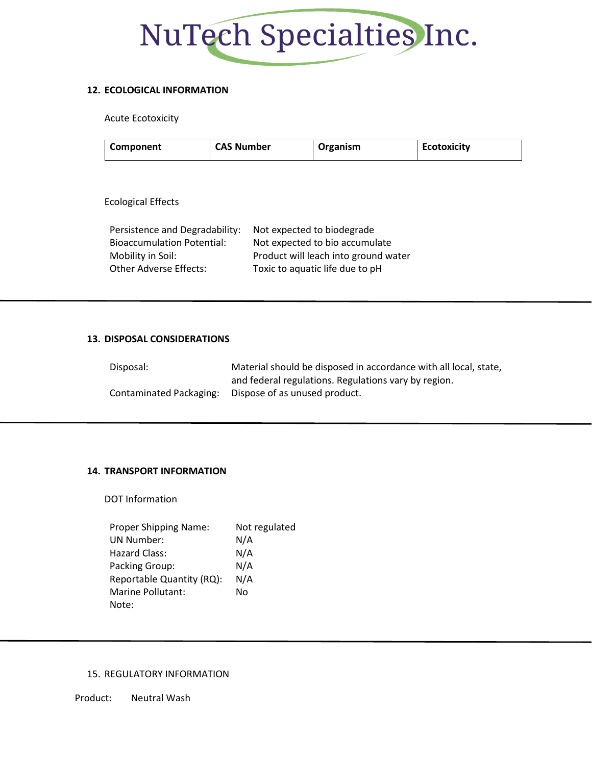# NuTech Specialties Inc.

#### **12. ECOLOGICAL INFORMATION**

Acute Ecotoxicity

| <b>CAS Number</b><br>Component | Organism | <b>Ecotoxicity</b> |
|--------------------------------|----------|--------------------|
|--------------------------------|----------|--------------------|

Ecological Effects

| Persistence and Degradability:    | Not expected to biodegrade           |
|-----------------------------------|--------------------------------------|
| <b>Bioaccumulation Potential:</b> | Not expected to bio accumulate       |
| Mobility in Soil:                 | Product will leach into ground water |
| <b>Other Adverse Effects:</b>     | Toxic to aquatic life due to pH      |

#### **13. DISPOSAL CONSIDERATIONS**

| Disposal:               | Material should be disposed in accordance with all local, state, |
|-------------------------|------------------------------------------------------------------|
|                         | and federal regulations. Regulations vary by region.             |
| Contaminated Packaging: | Dispose of as unused product.                                    |

#### **14. TRANSPORT INFORMATION**

DOT Information

| Proper Shipping Name:     | Not regulated |
|---------------------------|---------------|
| <b>UN Number:</b>         | N/A           |
| Hazard Class:             | N/A           |
| Packing Group:            | N/A           |
| Reportable Quantity (RQ): | N/A           |
| Marine Pollutant:         | No            |
| Note:                     |               |

#### 15. REGULATORY INFORMATION

Product: Neutral Wash